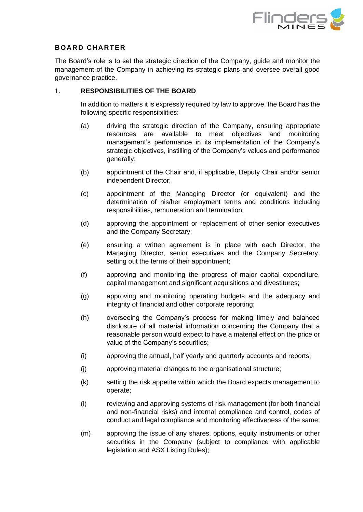

## **BOARD CHARTER**

The Board's role is to set the strategic direction of the Company, guide and monitor the management of the Company in achieving its strategic plans and oversee overall good governance practice.

#### **1. RESPONSIBILITIES OF THE BOARD**

In addition to matters it is expressly required by law to approve, the Board has the following specific responsibilities:

- (a) driving the strategic direction of the Company, ensuring appropriate resources are available to meet objectives and monitoring management's performance in its implementation of the Company's strategic objectives, instilling of the Company's values and performance generally;
- (b) appointment of the Chair and, if applicable, Deputy Chair and/or senior independent Director;
- (c) appointment of the Managing Director (or equivalent) and the determination of his/her employment terms and conditions including responsibilities, remuneration and termination;
- (d) approving the appointment or replacement of other senior executives and the Company Secretary;
- (e) ensuring a written agreement is in place with each Director, the Managing Director, senior executives and the Company Secretary, setting out the terms of their appointment;
- (f) approving and monitoring the progress of major capital expenditure, capital management and significant acquisitions and divestitures;
- (g) approving and monitoring operating budgets and the adequacy and integrity of financial and other corporate reporting;
- (h) overseeing the Company's process for making timely and balanced disclosure of all material information concerning the Company that a reasonable person would expect to have a material effect on the price or value of the Company's securities;
- (i) approving the annual, half yearly and quarterly accounts and reports;
- (j) approving material changes to the organisational structure;
- (k) setting the risk appetite within which the Board expects management to operate;
- (l) reviewing and approving systems of risk management (for both financial and non-financial risks) and internal compliance and control, codes of conduct and legal compliance and monitoring effectiveness of the same;
- (m) approving the issue of any shares, options, equity instruments or other securities in the Company (subject to compliance with applicable legislation and ASX Listing Rules);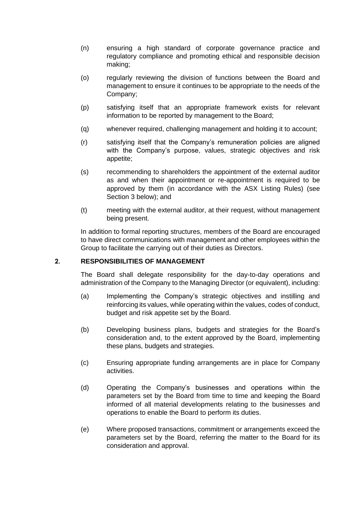- (n) ensuring a high standard of corporate governance practice and regulatory compliance and promoting ethical and responsible decision making;
- (o) regularly reviewing the division of functions between the Board and management to ensure it continues to be appropriate to the needs of the Company;
- (p) satisfying itself that an appropriate framework exists for relevant information to be reported by management to the Board;
- (q) whenever required, challenging management and holding it to account;
- (r) satisfying itself that the Company's remuneration policies are aligned with the Company's purpose, values, strategic objectives and risk appetite;
- (s) recommending to shareholders the appointment of the external auditor as and when their appointment or re-appointment is required to be approved by them (in accordance with the ASX Listing Rules) (see Section 3 below); and
- (t) meeting with the external auditor, at their request, without management being present.

In addition to formal reporting structures, members of the Board are encouraged to have direct communications with management and other employees within the Group to facilitate the carrying out of their duties as Directors.

#### **2. RESPONSIBILITIES OF MANAGEMENT**

The Board shall delegate responsibility for the day-to-day operations and administration of the Company to the Managing Director (or equivalent), including:

- (a) Implementing the Company's strategic objectives and instilling and reinforcing its values, while operating within the values, codes of conduct, budget and risk appetite set by the Board.
- (b) Developing business plans, budgets and strategies for the Board's consideration and, to the extent approved by the Board, implementing these plans, budgets and strategies.
- (c) Ensuring appropriate funding arrangements are in place for Company activities.
- (d) Operating the Company's businesses and operations within the parameters set by the Board from time to time and keeping the Board informed of all material developments relating to the businesses and operations to enable the Board to perform its duties.
- (e) Where proposed transactions, commitment or arrangements exceed the parameters set by the Board, referring the matter to the Board for its consideration and approval.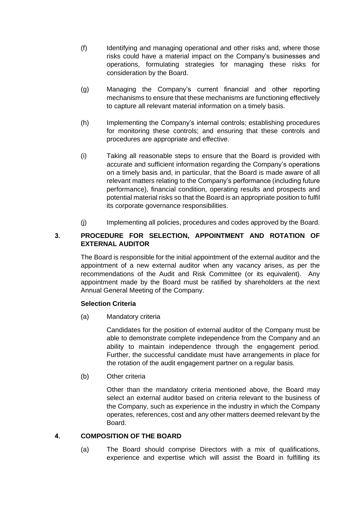- (f) Identifying and managing operational and other risks and, where those risks could have a material impact on the Company's businesses and operations, formulating strategies for managing these risks for consideration by the Board.
- (g) Managing the Company's current financial and other reporting mechanisms to ensure that these mechanisms are functioning effectively to capture all relevant material information on a timely basis.
- (h) Implementing the Company's internal controls; establishing procedures for monitoring these controls; and ensuring that these controls and procedures are appropriate and effective.
- (i) Taking all reasonable steps to ensure that the Board is provided with accurate and sufficient information regarding the Company's operations on a timely basis and, in particular, that the Board is made aware of all relevant matters relating to the Company's performance (including future performance), financial condition, operating results and prospects and potential material risks so that the Board is an appropriate position to fulfil its corporate governance responsibilities.
- (j) Implementing all policies, procedures and codes approved by the Board.

## **3. PROCEDURE FOR SELECTION, APPOINTMENT AND ROTATION OF EXTERNAL AUDITOR**

The Board is responsible for the initial appointment of the external auditor and the appointment of a new external auditor when any vacancy arises, as per the recommendations of the Audit and Risk Committee (or its equivalent). Any appointment made by the Board must be ratified by shareholders at the next Annual General Meeting of the Company.

#### **Selection Criteria**

(a) Mandatory criteria

Candidates for the position of external auditor of the Company must be able to demonstrate complete independence from the Company and an ability to maintain independence through the engagement period. Further, the successful candidate must have arrangements in place for the rotation of the audit engagement partner on a regular basis.

(b) Other criteria

Other than the mandatory criteria mentioned above, the Board may select an external auditor based on criteria relevant to the business of the Company, such as experience in the industry in which the Company operates, references, cost and any other matters deemed relevant by the Board.

# **4. COMPOSITION OF THE BOARD**

(a) The Board should comprise Directors with a mix of qualifications, experience and expertise which will assist the Board in fulfilling its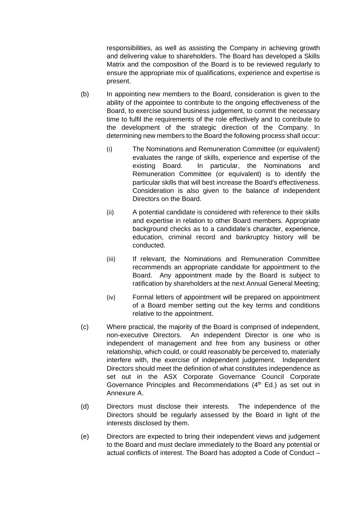responsibilities, as well as assisting the Company in achieving growth and delivering value to shareholders. The Board has developed a Skills Matrix and the composition of the Board is to be reviewed regularly to ensure the appropriate mix of qualifications, experience and expertise is present.

- (b) In appointing new members to the Board, consideration is given to the ability of the appointee to contribute to the ongoing effectiveness of the Board, to exercise sound business judgement, to commit the necessary time to fulfil the requirements of the role effectively and to contribute to the development of the strategic direction of the Company. In determining new members to the Board the following process shall occur:
	- (i) The Nominations and Remuneration Committee (or equivalent) evaluates the range of skills, experience and expertise of the existing Board. In particular, the Nominations and Remuneration Committee (or equivalent) is to identify the particular skills that will best increase the Board's effectiveness. Consideration is also given to the balance of independent Directors on the Board.
	- (ii) A potential candidate is considered with reference to their skills and expertise in relation to other Board members. Appropriate background checks as to a candidate's character, experience, education, criminal record and bankruptcy history will be conducted.
	- (iii) If relevant, the Nominations and Remuneration Committee recommends an appropriate candidate for appointment to the Board. Any appointment made by the Board is subject to ratification by shareholders at the next Annual General Meeting;
	- (iv) Formal letters of appointment will be prepared on appointment of a Board member setting out the key terms and conditions relative to the appointment.
- (c) Where practical, the majority of the Board is comprised of independent, non-executive Directors. An independent Director is one who is independent of management and free from any business or other relationship, which could, or could reasonably be perceived to, materially interfere with, the exercise of independent judgement. Independent Directors should meet the definition of what constitutes independence as set out in the ASX Corporate Governance Council Corporate Governance Principles and Recommendations (4<sup>th</sup> Ed.) as set out in Annexure A.
- (d) Directors must disclose their interests. The independence of the Directors should be regularly assessed by the Board in light of the interests disclosed by them.
- (e) Directors are expected to bring their independent views and judgement to the Board and must declare immediately to the Board any potential or actual conflicts of interest. The Board has adopted a Code of Conduct –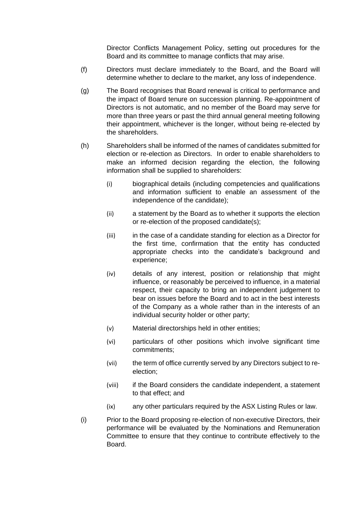Director Conflicts Management Policy, setting out procedures for the Board and its committee to manage conflicts that may arise.

- (f) Directors must declare immediately to the Board, and the Board will determine whether to declare to the market, any loss of independence.
- (g) The Board recognises that Board renewal is critical to performance and the impact of Board tenure on succession planning. Re-appointment of Directors is not automatic, and no member of the Board may serve for more than three years or past the third annual general meeting following their appointment, whichever is the longer, without being re-elected by the shareholders.
- (h) Shareholders shall be informed of the names of candidates submitted for election or re-election as Directors. In order to enable shareholders to make an informed decision regarding the election, the following information shall be supplied to shareholders:
	- (i) biographical details (including competencies and qualifications and information sufficient to enable an assessment of the independence of the candidate);
	- (ii) a statement by the Board as to whether it supports the election or re-election of the proposed candidate(s);
	- (iii) in the case of a candidate standing for election as a Director for the first time, confirmation that the entity has conducted appropriate checks into the candidate's background and experience;
	- (iv) details of any interest, position or relationship that might influence, or reasonably be perceived to influence, in a material respect, their capacity to bring an independent judgement to bear on issues before the Board and to act in the best interests of the Company as a whole rather than in the interests of an individual security holder or other party;
	- (v) Material directorships held in other entities;
	- (vi) particulars of other positions which involve significant time commitments;
	- (vii) the term of office currently served by any Directors subject to reelection;
	- (viii) if the Board considers the candidate independent, a statement to that effect; and
	- (ix) any other particulars required by the ASX Listing Rules or law.
- (i) Prior to the Board proposing re-election of non-executive Directors, their performance will be evaluated by the Nominations and Remuneration Committee to ensure that they continue to contribute effectively to the Board.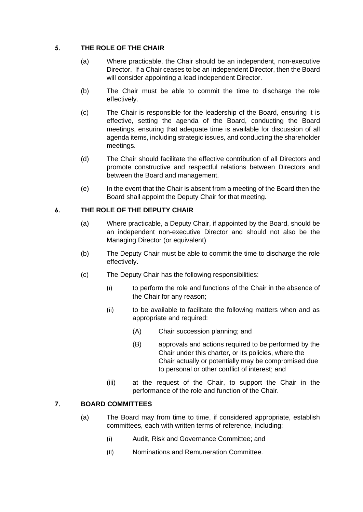## **5. THE ROLE OF THE CHAIR**

- (a) Where practicable, the Chair should be an independent, non-executive Director. If a Chair ceases to be an independent Director, then the Board will consider appointing a lead independent Director.
- (b) The Chair must be able to commit the time to discharge the role effectively.
- (c) The Chair is responsible for the leadership of the Board, ensuring it is effective, setting the agenda of the Board, conducting the Board meetings, ensuring that adequate time is available for discussion of all agenda items, including strategic issues, and conducting the shareholder meetings.
- (d) The Chair should facilitate the effective contribution of all Directors and promote constructive and respectful relations between Directors and between the Board and management.
- (e) In the event that the Chair is absent from a meeting of the Board then the Board shall appoint the Deputy Chair for that meeting.

## **6. THE ROLE OF THE DEPUTY CHAIR**

- (a) Where practicable, a Deputy Chair, if appointed by the Board, should be an independent non-executive Director and should not also be the Managing Director (or equivalent)
- (b) The Deputy Chair must be able to commit the time to discharge the role effectively.
- (c) The Deputy Chair has the following responsibilities:
	- (i) to perform the role and functions of the Chair in the absence of the Chair for any reason;
	- (ii) to be available to facilitate the following matters when and as appropriate and required:
		- (A) Chair succession planning; and
		- (B) approvals and actions required to be performed by the Chair under this charter, or its policies, where the Chair actually or potentially may be compromised due to personal or other conflict of interest; and
	- (iii) at the request of the Chair, to support the Chair in the performance of the role and function of the Chair.

# **7. BOARD COMMITTEES**

- (a) The Board may from time to time, if considered appropriate, establish committees, each with written terms of reference, including:
	- (i) Audit, Risk and Governance Committee; and
	- (ii) Nominations and Remuneration Committee.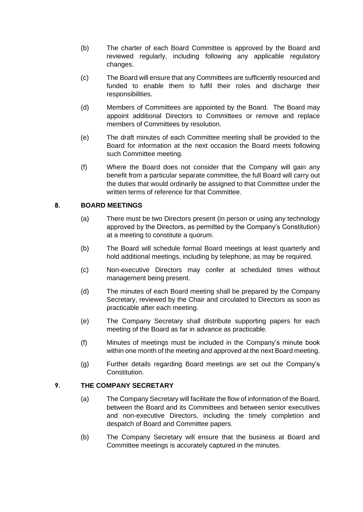- (b) The charter of each Board Committee is approved by the Board and reviewed regularly, including following any applicable regulatory changes.
- (c) The Board will ensure that any Committees are sufficiently resourced and funded to enable them to fulfil their roles and discharge their responsibilities.
- (d) Members of Committees are appointed by the Board. The Board may appoint additional Directors to Committees or remove and replace members of Committees by resolution.
- (e) The draft minutes of each Committee meeting shall be provided to the Board for information at the next occasion the Board meets following such Committee meeting.
- (f) Where the Board does not consider that the Company will gain any benefit from a particular separate committee, the full Board will carry out the duties that would ordinarily be assigned to that Committee under the written terms of reference for that Committee.

## **8. BOARD MEETINGS**

- (a) There must be two Directors present (in person or using any technology approved by the Directors, as permitted by the Company's Constitution) at a meeting to constitute a quorum.
- (b) The Board will schedule formal Board meetings at least quarterly and hold additional meetings, including by telephone, as may be required.
- (c) Non-executive Directors may confer at scheduled times without management being present.
- (d) The minutes of each Board meeting shall be prepared by the Company Secretary, reviewed by the Chair and circulated to Directors as soon as practicable after each meeting.
- (e) The Company Secretary shall distribute supporting papers for each meeting of the Board as far in advance as practicable.
- (f) Minutes of meetings must be included in the Company's minute book within one month of the meeting and approved at the next Board meeting.
- (g) Further details regarding Board meetings are set out the Company's Constitution.

# **9. THE COMPANY SECRETARY**

- (a) The Company Secretary will facilitate the flow of information of the Board, between the Board and its Committees and between senior executives and non-executive Directors, including the timely completion and despatch of Board and Committee papers.
- (b) The Company Secretary will ensure that the business at Board and Committee meetings is accurately captured in the minutes.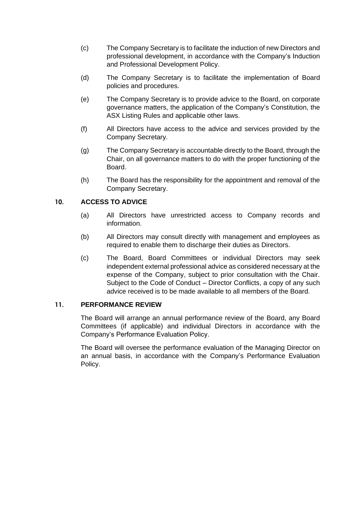- (c) The Company Secretary is to facilitate the induction of new Directors and professional development, in accordance with the Company's Induction and Professional Development Policy.
- (d) The Company Secretary is to facilitate the implementation of Board policies and procedures.
- (e) The Company Secretary is to provide advice to the Board, on corporate governance matters, the application of the Company's Constitution, the ASX Listing Rules and applicable other laws.
- (f) All Directors have access to the advice and services provided by the Company Secretary.
- (g) The Company Secretary is accountable directly to the Board, through the Chair, on all governance matters to do with the proper functioning of the Board.
- (h) The Board has the responsibility for the appointment and removal of the Company Secretary.

# **10. ACCESS TO ADVICE**

- (a) All Directors have unrestricted access to Company records and information.
- (b) All Directors may consult directly with management and employees as required to enable them to discharge their duties as Directors.
- (c) The Board, Board Committees or individual Directors may seek independent external professional advice as considered necessary at the expense of the Company, subject to prior consultation with the Chair. Subject to the Code of Conduct – Director Conflicts, a copy of any such advice received is to be made available to all members of the Board.

#### **11. PERFORMANCE REVIEW**

The Board will arrange an annual performance review of the Board, any Board Committees (if applicable) and individual Directors in accordance with the Company's Performance Evaluation Policy.

The Board will oversee the performance evaluation of the Managing Director on an annual basis, in accordance with the Company's Performance Evaluation Policy.